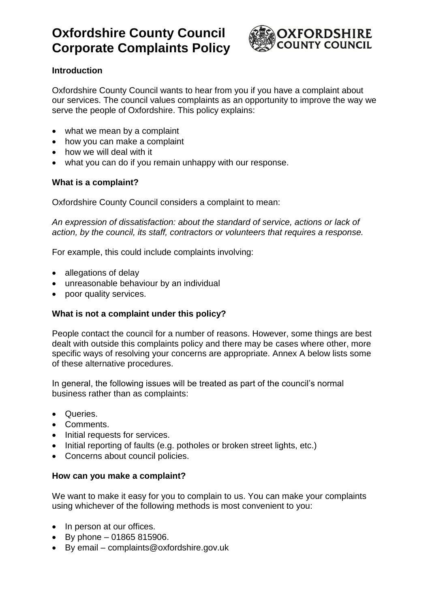

## **Introduction**

Oxfordshire County Council wants to hear from you if you have a complaint about our services. The council values complaints as an opportunity to improve the way we serve the people of Oxfordshire. This policy explains:

- what we mean by a complaint
- how you can make a complaint
- how we will deal with it
- what you can do if you remain unhappy with our response.

## **What is a complaint?**

Oxfordshire County Council considers a complaint to mean:

*An expression of dissatisfaction: about the standard of service, actions or lack of action, by the council, its staff, contractors or volunteers that requires a response.*

For example, this could include complaints involving:

- allegations of delay
- unreasonable behaviour by an individual
- poor quality services.

### **What is not a complaint under this policy?**

People contact the council for a number of reasons. However, some things are best dealt with outside this complaints policy and there may be cases where other, more specific ways of resolving your concerns are appropriate. Annex A below lists some of these alternative procedures.

In general, the following issues will be treated as part of the council's normal business rather than as complaints:

- Queries.
- Comments.
- Initial requests for services.
- Initial reporting of faults (e.g. potholes or broken street lights, etc.)
- Concerns about council policies.

#### **How can you make a complaint?**

We want to make it easy for you to complain to us. You can make your complaints using whichever of the following methods is most convenient to you:

- In person at our offices.
- $\bullet$  By phone 01865 815906.
- By email complaints@oxfordshire.gov.uk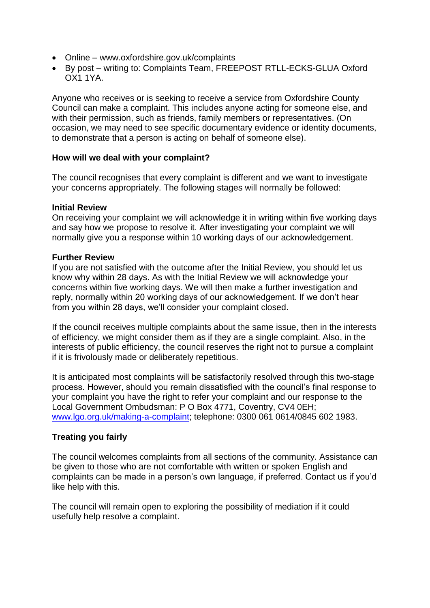- Online www.oxfordshire.gov.uk/complaints
- By post writing to: Complaints Team, FREEPOST RTLL-ECKS-GLUA Oxford OX1 1YA.

Anyone who receives or is seeking to receive a service from Oxfordshire County Council can make a complaint. This includes anyone acting for someone else, and with their permission, such as friends, family members or representatives. (On occasion, we may need to see specific documentary evidence or identity documents, to demonstrate that a person is acting on behalf of someone else).

#### **How will we deal with your complaint?**

The council recognises that every complaint is different and we want to investigate your concerns appropriately. The following stages will normally be followed:

#### **Initial Review**

On receiving your complaint we will acknowledge it in writing within five working days and say how we propose to resolve it. After investigating your complaint we will normally give you a response within 10 working days of our acknowledgement.

#### **Further Review**

If you are not satisfied with the outcome after the Initial Review, you should let us know why within 28 days. As with the Initial Review we will acknowledge your concerns within five working days. We will then make a further investigation and reply, normally within 20 working days of our acknowledgement. If we don't hear from you within 28 days, we'll consider your complaint closed.

If the council receives multiple complaints about the same issue, then in the interests of efficiency, we might consider them as if they are a single complaint. Also, in the interests of public efficiency, the council reserves the right not to pursue a complaint if it is frivolously made or deliberately repetitious.

It is anticipated most complaints will be satisfactorily resolved through this two-stage process. However, should you remain dissatisfied with the council's final response to your complaint you have the right to refer your complaint and our response to the Local Government Ombudsman: P O Box 4771, Coventry, CV4 0EH; [www.lgo.org.uk/making-a-complaint;](http://www.lgo.org.uk/making-a-complaint) telephone: 0300 061 0614/0845 602 1983.

#### **Treating you fairly**

The council welcomes complaints from all sections of the community. Assistance can be given to those who are not comfortable with written or spoken English and complaints can be made in a person's own language, if preferred. Contact us if you'd like help with this.

The council will remain open to exploring the possibility of mediation if it could usefully help resolve a complaint.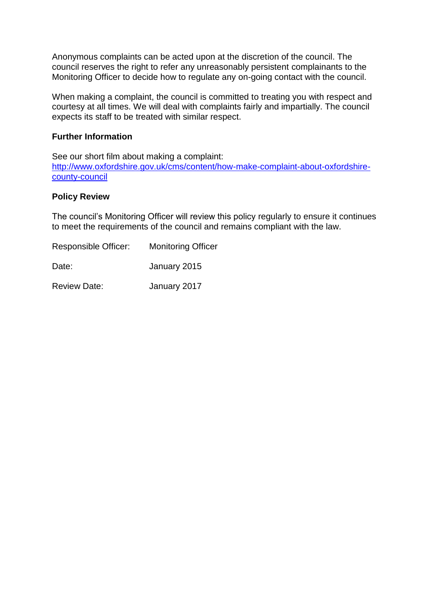Anonymous complaints can be acted upon at the discretion of the council. The council reserves the right to refer any unreasonably persistent complainants to the Monitoring Officer to decide how to regulate any on-going contact with the council.

When making a complaint, the council is committed to treating you with respect and courtesy at all times. We will deal with complaints fairly and impartially. The council expects its staff to be treated with similar respect.

#### **Further Information**

See our short film about making a complaint: [http://www.oxfordshire.gov.uk/cms/content/how-make-complaint-about-oxfordshire](http://www.oxfordshire.gov.uk/cms/content/how-make-complaint-about-oxfordshire-county-council)[county-council](http://www.oxfordshire.gov.uk/cms/content/how-make-complaint-about-oxfordshire-county-council)

#### **Policy Review**

The council's Monitoring Officer will review this policy regularly to ensure it continues to meet the requirements of the council and remains compliant with the law.

| Responsible Officer: | <b>Monitoring Officer</b> |
|----------------------|---------------------------|
| Date:                | January 2015              |
| <b>Review Date:</b>  | January 2017              |